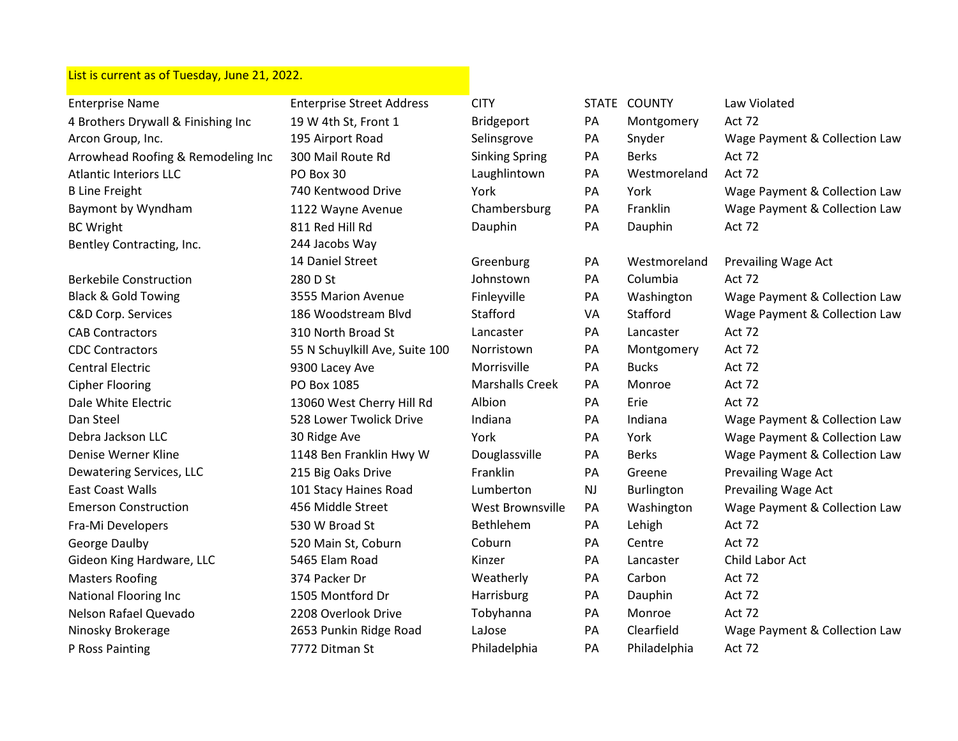## List is current as of Tuesday, June 21, 2022.

| <b>Enterprise Name</b>             | <b>Enterprise Street Address</b> | <b>CITY</b>            |           | STATE COUNTY | Law Violated                  |
|------------------------------------|----------------------------------|------------------------|-----------|--------------|-------------------------------|
| 4 Brothers Drywall & Finishing Inc | 19 W 4th St, Front 1             | Bridgeport             | PA        | Montgomery   | Act 72                        |
| Arcon Group, Inc.                  | 195 Airport Road                 | Selinsgrove            | PA        | Snyder       | Wage Payment & Collection Law |
| Arrowhead Roofing & Remodeling Inc | 300 Mail Route Rd                | <b>Sinking Spring</b>  | PA        | <b>Berks</b> | <b>Act 72</b>                 |
| <b>Atlantic Interiors LLC</b>      | PO Box 30                        | Laughlintown           | PA        | Westmoreland | Act 72                        |
| <b>B Line Freight</b>              | 740 Kentwood Drive               | York                   | PA        | York         | Wage Payment & Collection Law |
| Baymont by Wyndham                 | 1122 Wayne Avenue                | Chambersburg           | PA        | Franklin     | Wage Payment & Collection Law |
| <b>BC Wright</b>                   | 811 Red Hill Rd                  | Dauphin                | PA        | Dauphin      | Act 72                        |
| Bentley Contracting, Inc.          | 244 Jacobs Way                   |                        |           |              |                               |
|                                    | 14 Daniel Street                 | Greenburg              | PA        | Westmoreland | Prevailing Wage Act           |
| <b>Berkebile Construction</b>      | 280 D St                         | Johnstown              | PA        | Columbia     | Act 72                        |
| <b>Black &amp; Gold Towing</b>     | 3555 Marion Avenue               | Finleyville            | PA        | Washington   | Wage Payment & Collection Law |
| C&D Corp. Services                 | 186 Woodstream Blvd              | Stafford               | VA        | Stafford     | Wage Payment & Collection Law |
| <b>CAB Contractors</b>             | 310 North Broad St               | Lancaster              | PA        | Lancaster    | Act 72                        |
| <b>CDC Contractors</b>             | 55 N Schuylkill Ave, Suite 100   | Norristown             | PA        | Montgomery   | Act 72                        |
| <b>Central Electric</b>            | 9300 Lacey Ave                   | Morrisville            | PA        | <b>Bucks</b> | Act 72                        |
| <b>Cipher Flooring</b>             | PO Box 1085                      | <b>Marshalls Creek</b> | PA        | Monroe       | Act 72                        |
| Dale White Electric                | 13060 West Cherry Hill Rd        | Albion                 | PA        | Erie         | Act 72                        |
| Dan Steel                          | 528 Lower Twolick Drive          | Indiana                | PA        | Indiana      | Wage Payment & Collection Law |
| Debra Jackson LLC                  | 30 Ridge Ave                     | York                   | PA        | York         | Wage Payment & Collection Law |
| Denise Werner Kline                | 1148 Ben Franklin Hwy W          | Douglassville          | PA        | <b>Berks</b> | Wage Payment & Collection Law |
| Dewatering Services, LLC           | 215 Big Oaks Drive               | Franklin               | PA        | Greene       | Prevailing Wage Act           |
| East Coast Walls                   | 101 Stacy Haines Road            | Lumberton              | <b>NJ</b> | Burlington   | Prevailing Wage Act           |
| <b>Emerson Construction</b>        | 456 Middle Street                | West Brownsville       | PA        | Washington   | Wage Payment & Collection Law |
| Fra-Mi Developers                  | 530 W Broad St                   | Bethlehem              | PA        | Lehigh       | <b>Act 72</b>                 |
| <b>George Daulby</b>               | 520 Main St, Coburn              | Coburn                 | PA        | Centre       | Act 72                        |
| Gideon King Hardware, LLC          | 5465 Elam Road                   | Kinzer                 | PA        | Lancaster    | Child Labor Act               |
| <b>Masters Roofing</b>             | 374 Packer Dr                    | Weatherly              | PA        | Carbon       | Act 72                        |
| <b>National Flooring Inc</b>       | 1505 Montford Dr                 | Harrisburg             | PA        | Dauphin      | Act 72                        |
| Nelson Rafael Quevado              | 2208 Overlook Drive              | Tobyhanna              | PA        | Monroe       | Act 72                        |
| Ninosky Brokerage                  | 2653 Punkin Ridge Road           | LaJose                 | PA        | Clearfield   | Wage Payment & Collection Law |
| P Ross Painting                    | 7772 Ditman St                   | Philadelphia           | PA        | Philadelphia | Act 72                        |